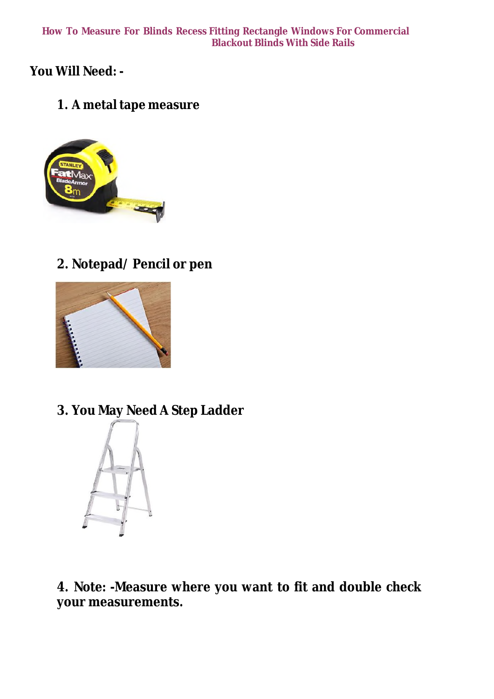## **How To Measure For Blinds Recess Fitting Rectangle Windows For Commercial Blackout Blinds With Side Rails**

**You Will Need: -**

**1. A metal tape measure**



**2. Notepad/ Pencil or pen**



**3. You May Need A Step Ladder**



**4. Note: -Measure where you want to fit and double check your measurements.**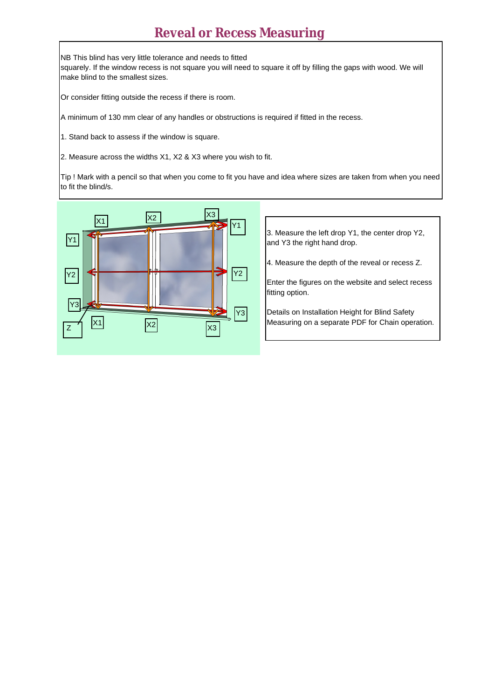## **Reveal or Recess Measuring**

NB This blind has very little tolerance and needs to fitted

squarely. If the window recess is not square you will need to square it off by filling the gaps with wood. We will make blind to the smallest sizes.

Or consider fitting outside the recess if there is room.

A minimum of 130 mm clear of any handles or obstructions is required if fitted in the recess.

1. Stand back to assess if the window is square.

2. Measure across the widths X1, X2 & X3 where you wish to fit.

Tip ! Mark with a pencil so that when you come to fit you have and idea where sizes are taken from when you need to fit the blind/s.



3. Measure the left drop Y1, the center drop Y2, and Y3 the right hand drop.

4. Measure the depth of the reveal or recess Z.

Enter the figures on the website and select recess fitting option.

Details on Installation Height for Blind Safety Measuring on a separate PDF for Chain operation.